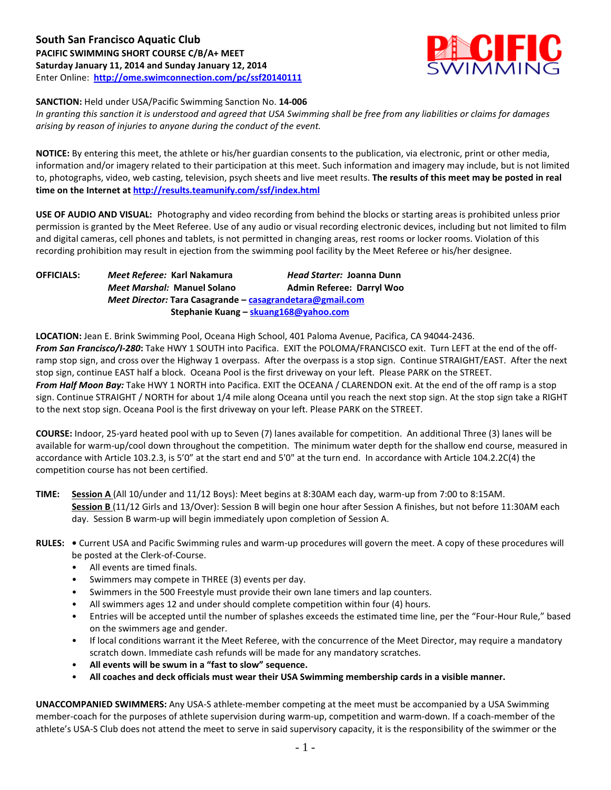**South San Francisco Aquatic Club PACIFIC SWIMMING SHORT COURSE C/B/A+ MEET Saturday January 11, 2014 and Sunday January 12, 2014** Enter Online: **<http://ome.swimconnection.com/pc/ssf20140111>**



**SANCTION:** Held under USA/Pacific Swimming Sanction No. **14-006**

*In granting this sanction it is understood and agreed that USA Swimming shall be free from any liabilities or claims for damages arising by reason of injuries to anyone during the conduct of the event.*

**NOTICE:** By entering this meet, the athlete or his/her guardian consents to the publication, via electronic, print or other media, information and/or imagery related to their participation at this meet. Such information and imagery may include, but is not limited to, photographs, video, web casting, television, psych sheets and live meet results. **The results of this meet may be posted in real time on the Internet a[t http://results.teamunify.com/ssf/index.html](http://results.teamunify.com/ssf/index.html)**

**USE OF AUDIO AND VISUAL:** Photography and video recording from behind the blocks or starting areas is prohibited unless prior permission is granted by the Meet Referee. Use of any audio or visual recording electronic devices, including but not limited to film and digital cameras, cell phones and tablets, is not permitted in changing areas, rest rooms or locker rooms. Violation of this recording prohibition may result in ejection from the swimming pool facility by the Meet Referee or his/her designee.

**OFFICIALS:** *Meet Referee:* **Karl Nakamura** *Head Starter:* **Joanna Dunn** *Meet Marshal:* **Manuel Solano Admin Referee: Darryl Woo** *Meet Director:* **Tara Casagrande – [casagrandetara@gmail.com](mailto:casagrandetara@gmail.com)  Stephanie Kuang – [skuang168@yahoo.com](mailto:skuang168@yahoo.com)**

**LOCATION:** Jean E. Brink Swimming Pool, Oceana High School, 401 Paloma Avenue, Pacifica, CA 94044-2436. *From San Francisco/I-280***:** Take HWY 1 SOUTH into Pacifica. EXIT the POLOMA/FRANCISCO exit. Turn LEFT at the end of the offramp stop sign, and cross over the Highway 1 overpass. After the overpass is a stop sign. Continue STRAIGHT/EAST. After the next stop sign, continue EAST half a block. Oceana Pool is the first driveway on your left. Please PARK on the STREET. *From Half Moon Bay:* Take HWY 1 NORTH into Pacifica. EXIT the OCEANA / CLARENDON exit. At the end of the off ramp is a stop sign. Continue STRAIGHT / NORTH for about 1/4 mile along Oceana until you reach the next stop sign. At the stop sign take a RIGHT to the next stop sign. Oceana Pool is the first driveway on your left. Please PARK on the STREET.

**COURSE:** Indoor, 25-yard heated pool with up to Seven (7) lanes available for competition. An additional Three (3) lanes will be available for warm-up/cool down throughout the competition. The minimum water depth for the shallow end course, measured in accordance with Article 103.2.3, is 5'0" at the start end and 5'0" at the turn end. In accordance with Article 104.2.2C(4) the competition course has not been certified.

**TIME: Session A** (All 10/under and 11/12 Boys): Meet begins at 8:30AM each day, warm-up from 7:00 to 8:15AM. **Session B** (11/12 Girls and 13/Over): Session B will begin one hour after Session A finishes, but not before 11:30AM each day. Session B warm-up will begin immediately upon completion of Session A.

# **RULES: •** Current USA and Pacific Swimming rules and warm-up procedures will govern the meet. A copy of these procedures will be posted at the Clerk-of-Course.

- All events are timed finals.
- Swimmers may compete in THREE (3) events per day.
- Swimmers in the 500 Freestyle must provide their own lane timers and lap counters.
- All swimmers ages 12 and under should complete competition within four (4) hours.
- Entries will be accepted until the number of splashes exceeds the estimated time line, per the "Four-Hour Rule," based on the swimmers age and gender.
- If local conditions warrant it the Meet Referee, with the concurrence of the Meet Director, may require a mandatory scratch down. Immediate cash refunds will be made for any mandatory scratches.
- **All events will be swum in a "fast to slow" sequence.**
- **All coaches and deck officials must wear their USA Swimming membership cards in a visible manner.**

**UNACCOMPANIED SWIMMERS:** Any USA-S athlete-member competing at the meet must be accompanied by a USA Swimming member-coach for the purposes of athlete supervision during warm-up, competition and warm-down. If a coach-member of the athlete's USA-S Club does not attend the meet to serve in said supervisory capacity, it is the responsibility of the swimmer or the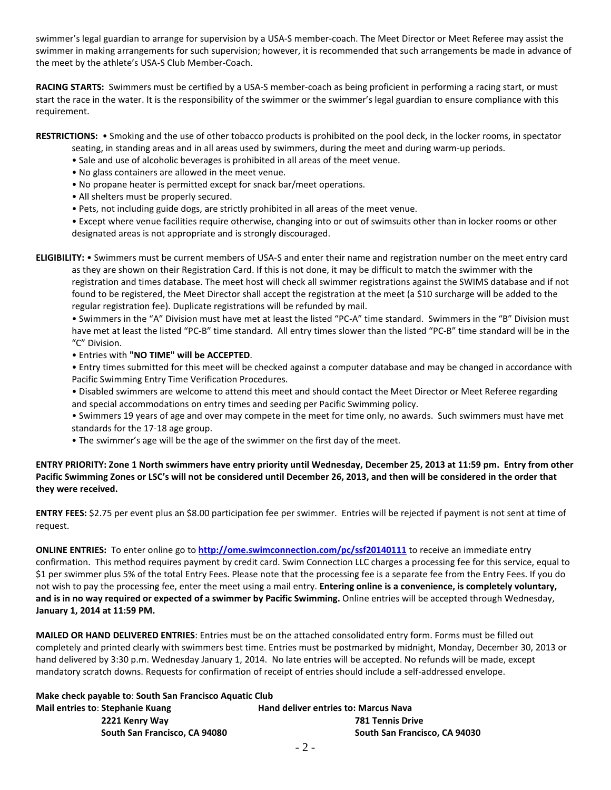swimmer's legal guardian to arrange for supervision by a USA-S member-coach. The Meet Director or Meet Referee may assist the swimmer in making arrangements for such supervision; however, it is recommended that such arrangements be made in advance of the meet by the athlete's USA-S Club Member-Coach.

**RACING STARTS:** Swimmers must be certified by a USA-S member-coach as being proficient in performing a racing start, or must start the race in the water. It is the responsibility of the swimmer or the swimmer's legal guardian to ensure compliance with this requirement.

**RESTRICTIONS:** • Smoking and the use of other tobacco products is prohibited on the pool deck, in the locker rooms, in spectator seating, in standing areas and in all areas used by swimmers, during the meet and during warm-up periods.

- Sale and use of alcoholic beverages is prohibited in all areas of the meet venue.
- No glass containers are allowed in the meet venue.
- No propane heater is permitted except for snack bar/meet operations.
- All shelters must be properly secured.
- Pets, not including guide dogs, are strictly prohibited in all areas of the meet venue.

• Except where venue facilities require otherwise, changing into or out of swimsuits other than in locker rooms or other designated areas is not appropriate and is strongly discouraged.

**ELIGIBILITY:** • Swimmers must be current members of USA-S and enter their name and registration number on the meet entry card as they are shown on their Registration Card. If this is not done, it may be difficult to match the swimmer with the registration and times database. The meet host will check all swimmer registrations against the SWIMS database and if not found to be registered, the Meet Director shall accept the registration at the meet (a \$10 surcharge will be added to the regular registration fee). Duplicate registrations will be refunded by mail.

• Swimmers in the "A" Division must have met at least the listed "PC-A" time standard. Swimmers in the "B" Division must have met at least the listed "PC-B" time standard. All entry times slower than the listed "PC-B" time standard will be in the "C" Division.

• Entries with **"NO TIME" will be ACCEPTED**.

• Entry times submitted for this meet will be checked against a computer database and may be changed in accordance with Pacific Swimming Entry Time Verification Procedures.

• Disabled swimmers are welcome to attend this meet and should contact the Meet Director or Meet Referee regarding and special accommodations on entry times and seeding per Pacific Swimming policy.

- Swimmers 19 years of age and over may compete in the meet for time only, no awards. Such swimmers must have met standards for the 17-18 age group.
- The swimmer's age will be the age of the swimmer on the first day of the meet.

# **ENTRY PRIORITY: Zone 1 North swimmers have entry priority until Wednesday, December 25, 2013 at 11:59 pm. Entry from other Pacific Swimming Zones or LSC's will not be considered until December 26, 2013, and then will be considered in the order that they were received.**

**ENTRY FEES:** \$2.75 per event plus an \$8.00 participation fee per swimmer. Entries will be rejected if payment is not sent at time of request.

**ONLINE ENTRIES:** To enter online go to **<http://ome.swimconnection.com/pc/ssf20140111>** to receive an immediate entry confirmation. This method requires payment by credit card. Swim Connection LLC charges a processing fee for this service, equal to \$1 per swimmer plus 5% of the total Entry Fees. Please note that the processing fee is a separate fee from the Entry Fees. If you do not wish to pay the processing fee, enter the meet using a mail entry. **Entering online is a convenience, is completely voluntary, and is in no way required or expected of a swimmer by Pacific Swimming.** Online entries will be accepted through Wednesday, **January 1, 2014 at 11:59 PM.**

**MAILED OR HAND DELIVERED ENTRIES**: Entries must be on the attached consolidated entry form. Forms must be filled out completely and printed clearly with swimmers best time. Entries must be postmarked by midnight, Monday, December 30, 2013 or hand delivered by 3:30 p.m. Wednesday January 1, 2014. No late entries will be accepted. No refunds will be made, except mandatory scratch downs. Requests for confirmation of receipt of entries should include a self-addressed envelope.

| Make check payable to: South San Francisco Aquatic Club |                                             |
|---------------------------------------------------------|---------------------------------------------|
| Mail entries to: Stephanie Kuang                        | <b>Hand deliver entries to: Marcus Nava</b> |
| 2221 Kenry Way                                          | <b>781 Tennis Drive</b>                     |
| South San Francisco, CA 94080                           | South San Francisco, CA 94030               |
|                                                         |                                             |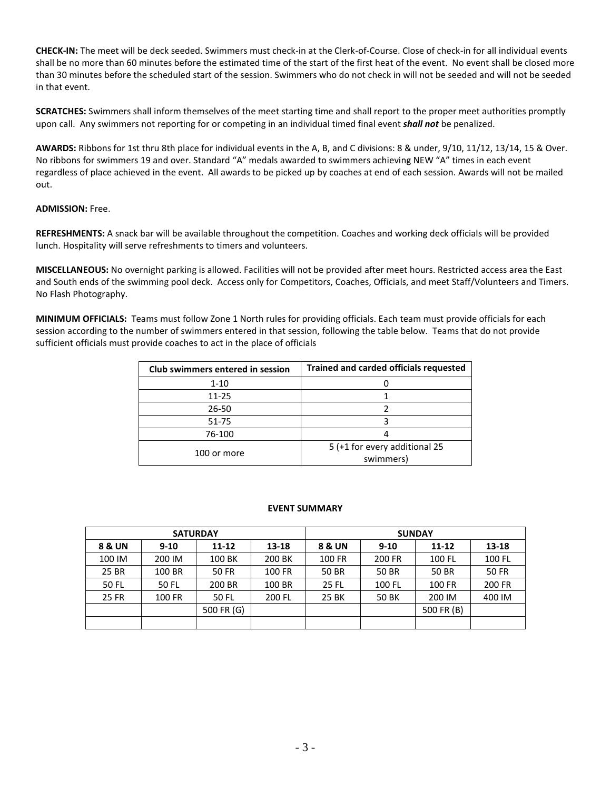**CHECK-IN:** The meet will be deck seeded. Swimmers must check-in at the Clerk-of-Course. Close of check-in for all individual events shall be no more than 60 minutes before the estimated time of the start of the first heat of the event. No event shall be closed more than 30 minutes before the scheduled start of the session. Swimmers who do not check in will not be seeded and will not be seeded in that event.

**SCRATCHES:** Swimmers shall inform themselves of the meet starting time and shall report to the proper meet authorities promptly upon call. Any swimmers not reporting for or competing in an individual timed final event *shall not* be penalized.

**AWARDS:** Ribbons for 1st thru 8th place for individual events in the A, B, and C divisions: 8 & under, 9/10, 11/12, 13/14, 15 & Over. No ribbons for swimmers 19 and over. Standard "A" medals awarded to swimmers achieving NEW "A" times in each event regardless of place achieved in the event. All awards to be picked up by coaches at end of each session. Awards will not be mailed out.

### **ADMISSION:** Free.

**REFRESHMENTS:** A snack bar will be available throughout the competition. Coaches and working deck officials will be provided lunch. Hospitality will serve refreshments to timers and volunteers.

**MISCELLANEOUS:** No overnight parking is allowed. Facilities will not be provided after meet hours. Restricted access area the East and South ends of the swimming pool deck. Access only for Competitors, Coaches, Officials, and meet Staff/Volunteers and Timers. No Flash Photography.

**MINIMUM OFFICIALS:** Teams must follow Zone 1 North rules for providing officials. Each team must provide officials for each session according to the number of swimmers entered in that session, following the table below. Teams that do not provide sufficient officials must provide coaches to act in the place of officials

| Club swimmers entered in session | <b>Trained and carded officials requested</b> |  |  |  |  |  |
|----------------------------------|-----------------------------------------------|--|--|--|--|--|
| $1 - 10$                         |                                               |  |  |  |  |  |
| $11 - 25$                        |                                               |  |  |  |  |  |
| $26 - 50$                        |                                               |  |  |  |  |  |
| $51 - 75$                        |                                               |  |  |  |  |  |
| 76-100                           |                                               |  |  |  |  |  |
|                                  | 5 (+1 for every additional 25                 |  |  |  |  |  |
| 100 or more                      | swimmers)                                     |  |  |  |  |  |

#### **EVENT SUMMARY**

|              | <b>SATURDAY</b> |            |        | <b>SUNDAY</b> |          |            |              |  |  |  |
|--------------|-----------------|------------|--------|---------------|----------|------------|--------------|--|--|--|
| 8 & UN       | $9 - 10$        | $11 - 12$  | 13-18  | 8 & UN        | $9 - 10$ | $11 - 12$  | $13 - 18$    |  |  |  |
| 100 IM       | 200 IM          | 100 BK     | 200 BK | 100 FR        | 200 FR   | 100 FL     | 100 FL       |  |  |  |
| 25 BR        | 100 BR          | 50 FR      | 100 FR | 50 BR         | 50 BR    | 50 BR      | <b>50 FR</b> |  |  |  |
| 50 FL        | 50 FL           | 200 BR     | 100 BR | 25 FL         | 100 FL   | 100 FR     | 200 FR       |  |  |  |
| <b>25 FR</b> | 100 FR          | 50 FL      | 200 FL | 25 BK         | 50 BK    | 200 IM     | 400 IM       |  |  |  |
|              |                 | 500 FR (G) |        |               |          | 500 FR (B) |              |  |  |  |
|              |                 |            |        |               |          |            |              |  |  |  |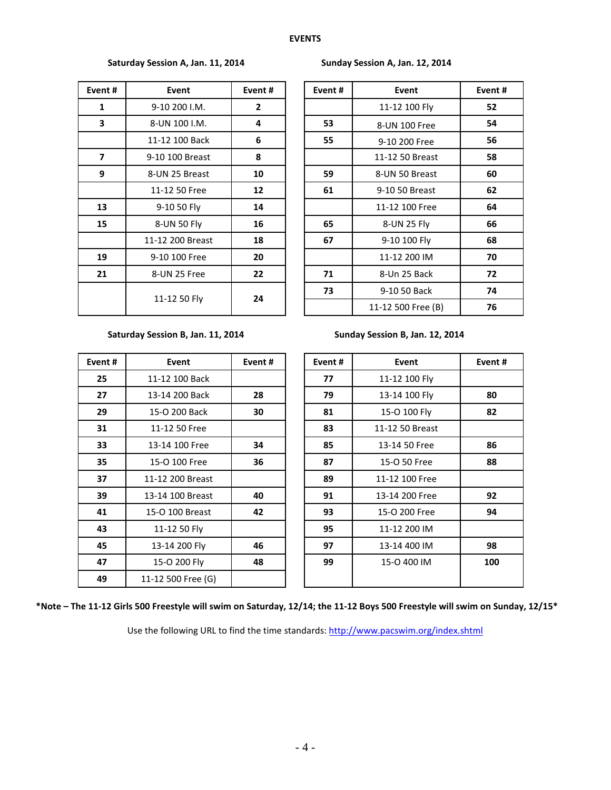# Saturday Session A, Jan. 11, 2014 **Sunday Session A, Jan. 12, 2014**

| Event# | Event            | Event# |
|--------|------------------|--------|
| 1      | 9-10 200 I.M.    | 2      |
| 3      | 8-UN 100 I.M.    | 4      |
|        | 11-12 100 Back   | 6      |
| 7      | 9-10 100 Breast  | 8      |
| 9      | 8-UN 25 Breast   | 10     |
|        | 11-12 50 Free    | 12     |
| 13     | 9-10 50 Fly      | 14     |
| 15     | 8-UN 50 Fly      | 16     |
|        | 11-12 200 Breast | 18     |
| 19     | 9-10 100 Free    | 20     |
| 21     | 8-UN 25 Free     | 22     |
|        | 11-12 50 Fly     | 24     |

| Event # | Event            | Event#          |  | Event# | Event              | Event# |
|---------|------------------|-----------------|--|--------|--------------------|--------|
| 1       | 9-10 200 I.M.    | $\mathbf{2}$    |  |        | 11-12 100 Fly      | 52     |
| 3       | 8-UN 100 I.M.    | 4               |  | 53     | 8-UN 100 Free      | 54     |
|         | 11-12 100 Back   | 6               |  | 55     | 9-10 200 Free      | 56     |
| 7       | 9-10 100 Breast  | 8               |  |        | 11-12 50 Breast    | 58     |
| 9       | 8-UN 25 Breast   | 10              |  | 59     | 8-UN 50 Breast     | 60     |
|         | 11-12 50 Free    | 12 <sup>2</sup> |  | 61     | 9-10 50 Breast     | 62     |
| 13      | 9-10 50 Fly      | 14              |  |        | 11-12 100 Free     | 64     |
| 15      | 8-UN 50 Fly      | 16              |  | 65     | 8-UN 25 Fly        | 66     |
|         | 11-12 200 Breast | 18              |  | 67     | 9-10 100 Fly       | 68     |
| 19      | 9-10 100 Free    | 20              |  |        | 11-12 200 IM       | 70     |
| 21      | 8-UN 25 Free     | 22              |  |        | 8-Un 25 Back       | 72     |
|         |                  | 24              |  | 73     | 9-10 50 Back       | 74     |
|         | 11-12 50 Fly     |                 |  |        | 11-12 500 Free (B) | 76     |

### Saturday Session B, Jan. 11, 2014 Sunday Session B, Jan. 12, 2014

| Event# | Event              | Event# | Event# | Event           |
|--------|--------------------|--------|--------|-----------------|
| 25     | 11-12 100 Back     |        | 77     | 11-12 100 Fly   |
| 27     | 13-14 200 Back     | 28     | 79     | 13-14 100 Fly   |
| 29     | 15-O 200 Back      | 30     | 81     | 15-0 100 Fly    |
| 31     | 11-12 50 Free      |        | 83     | 11-12 50 Breast |
| 33     | 13-14 100 Free     | 34     | 85     | 13-14 50 Free   |
| 35     | 15-O 100 Free      | 36     | 87     | 15-O 50 Free    |
| 37     | 11-12 200 Breast   |        | 89     | 11-12 100 Free  |
| 39     | 13-14 100 Breast   | 40     | 91     | 13-14 200 Free  |
| 41     | 15-O 100 Breast    | 42     | 93     | 15-O 200 Free   |
| 43     | 11-12 50 Fly       |        | 95     | 11-12 200 IM    |
| 45     | 13-14 200 Fly      | 46     | 97     | 13-14 400 IM    |
| 47     | 15-O 200 Fly       | 48     | 99     | 15-O 400 IM     |
| 49     | 11-12 500 Free (G) |        |        |                 |

| Event # | Event              | Event# | Event# | Event           |  |
|---------|--------------------|--------|--------|-----------------|--|
| 25      | 11-12 100 Back     |        | 77     | 11-12 100 Fly   |  |
| 27      | 13-14 200 Back     | 28     | 79     | 13-14 100 Fly   |  |
| 29      | 15-O 200 Back      | 30     | 81     | 15-O 100 Fly    |  |
| 31      | 11-12 50 Free      |        | 83     | 11-12 50 Breast |  |
| 33      | 13-14 100 Free     | 34     | 85     | 13-14 50 Free   |  |
| 35      | 15-O 100 Free      | 36     | 87     | 15-O 50 Free    |  |
| 37      | 11-12 200 Breast   |        | 89     | 11-12 100 Free  |  |
| 39      | 13-14 100 Breast   | 40     | 91     | 13-14 200 Free  |  |
| 41      | 15-O 100 Breast    | 42     | 93     | 15-O 200 Free   |  |
| 43      | 11-12 50 Fly       |        | 95     | 11-12 200 IM    |  |
| 45      | 13-14 200 Fly      | 46     | 97     | 13-14 400 IM    |  |
| 47      | 15-O 200 Fly       | 48     | 99     | 15-0 400 IM     |  |
| 49      | 11-12 500 Free (G) |        |        |                 |  |

**\*Note – The 11-12 Girls 500 Freestyle will swim on Saturday, 12/14; the 11-12 Boys 500 Freestyle will swim on Sunday, 12/15\***

Use the following URL to find the time standards:<http://www.pacswim.org/index.shtml>